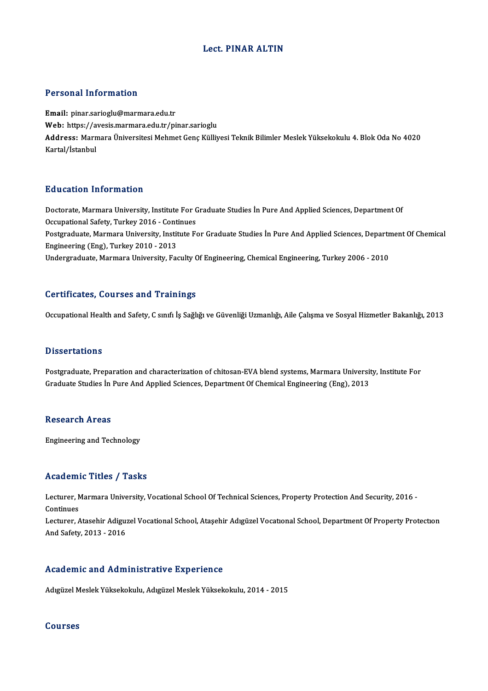# Lect. PINAR ALTIN

# Personal Information

Email: pinar.sarioglu@marmara.edu.tr Web: https://avesis.marmara.edu.tr/pinar.sarioglu Email: pinar.sarioglu@marmara.edu.tr<br>Web: https://avesis.marmara.edu.tr/pinar.sarioglu<br>Address: Marmara Üniversitesi Mehmet Genç Külliyesi Teknik Bilimler Meslek Yüksekokulu 4. Blok Oda No 4020<br>Kartal/İstanbul Web: https://a<br>Address: Marn<br>Kartal/İstanbul

# Education Information

Education Information<br>Doctorate, Marmara University, Institute For Graduate Studies İn Pure And Applied Sciences, Department Of<br>Occunational Safety, Turkey 2016, Continues Du d'outron Tirror Inderon<br>Doctorate, Marmara University, Institute For C<br>Occupational Safety, Turkey 2016 - Continues<br>Postavaduate Marmara University, Institute Fo Doctorate, Marmara University, Institute For Graduate Studies İn Pure And Applied Sciences, Department Of<br>Occupational Safety, Turkey 2016 - Continues<br>Postgraduate, Marmara University, Institute For Graduate Studies İn Pur Occupational Safety, Turkey 2016 - Continues<br>Postgraduate, Marmara University, Institute For Graduate Studies İn Pure And Applied Sciences, Depart<br>Engineering (Eng), Turkey 2010 - 2013<br>Undergraduate, Marmara University, Fa Postgraduate, Marmara University, Institute For Graduate Studies İn Pure And Applied Sciences, Departr<br>Engineering (Eng), Turkey 2010 - 2013<br>Undergraduate, Marmara University, Faculty Of Engineering, Chemical Engineering,

# Certificates, Courses and Trainings

Occupational Health and Safety, C sınıfı İş Sağlığı ve Güvenliği Uzmanlığı, Aile Çalışma ve Sosyal Hizmetler Bakanlığı, 2013

### **Dissertations**

Dissertations<br>Postgraduate, Preparation and characterization of chitosan-EVA blend systems, Marmara University, Institute For<br>Craduate Studies In Bure And Applied Sciences, Department Of Chamical Engineering (Eng), 2012 Basser Latrens<br>Postgraduate, Preparation and characterization of chitosan-EVA blend systems, Marmara Universit<br>Graduate Studies İn Pure And Applied Sciences, Department Of Chemical Engineering (Eng), 2013 Graduate Studies İn Pure And Applied Sciences, Department Of Chemical Engineering (Eng), 2013<br>Research Areas

Engineering and Technology

### Academic Titles / Tasks

Academic Titles / Tasks<br>Lecturer, Marmara University, Vocational School Of Technical Sciences, Property Protection And Security, 2016 -<br>Continues Lecturer, N<br>Continues<br>Lecturer

Continues<br>Lecturer, Atasehir Adiguzel Vocational School, Ataşehir Adıgüzel Vocational School, Department Of Property Protection And Safety,2013 -2016

### Academic and Administrative Experience

Adıgüzel Meslek Yüksekokulu, Adıgüzel Meslek Yüksekokulu, 2014 - 2015

### Courses